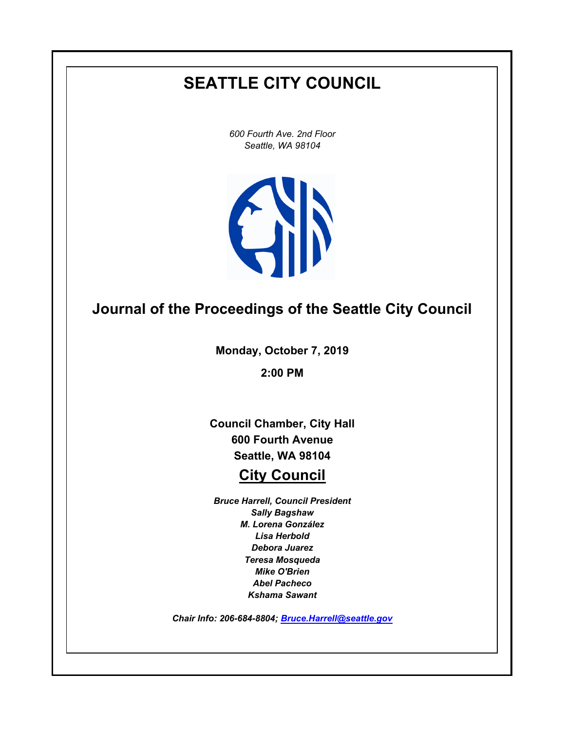# **SEATTLE CITY COUNCIL**

*600 Fourth Ave. 2nd Floor Seattle, WA 98104*



## **Journal of the Proceedings of the Seattle City Council**

**Monday, October 7, 2019**

**2:00 PM**

**Council Chamber, City Hall 600 Fourth Avenue Seattle, WA 98104**

## **City Council**

*Bruce Harrell, Council President Sally Bagshaw M. Lorena González Lisa Herbold Debora Juarez Teresa Mosqueda Mike O'Brien Abel Pacheco Kshama Sawant*

*Chair Info: 206-684-8804; [Bruce.Harrell@seattle.gov](mailto:Bruce.Harrell@seattle.gov)*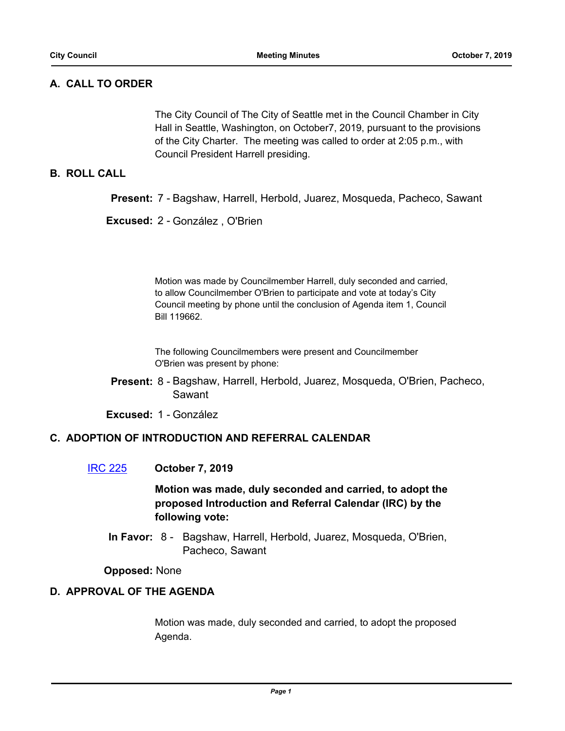## **A. CALL TO ORDER**

The City Council of The City of Seattle met in the Council Chamber in City Hall in Seattle, Washington, on October7, 2019, pursuant to the provisions of the City Charter. The meeting was called to order at 2:05 p.m., with Council President Harrell presiding.

## **B. ROLL CALL**

**Present:** 7 - Bagshaw, Harrell, Herbold, Juarez, Mosqueda, Pacheco, Sawant

**Excused:** 2 - González , O'Brien

Motion was made by Councilmember Harrell, duly seconded and carried, to allow Councilmember O'Brien to participate and vote at today's City Council meeting by phone until the conclusion of Agenda item 1, Council Bill 119662.

The following Councilmembers were present and Councilmember O'Brien was present by phone:

Present: 8 - Bagshaw, Harrell, Herbold, Juarez, Mosqueda, O'Brien, Pacheco, Sawant

**Excused:** 1 - González

#### **C. ADOPTION OF INTRODUCTION AND REFERRAL CALENDAR**

#### [IRC 225](http://seattle.legistar.com/gateway.aspx?m=l&id=/matter.aspx?key=9233) **October 7, 2019**

## **Motion was made, duly seconded and carried, to adopt the proposed Introduction and Referral Calendar (IRC) by the following vote:**

In Favor: 8 - Bagshaw, Harrell, Herbold, Juarez, Mosqueda, O'Brien, Pacheco, Sawant

**Opposed:** None

### **D. APPROVAL OF THE AGENDA**

Motion was made, duly seconded and carried, to adopt the proposed Agenda.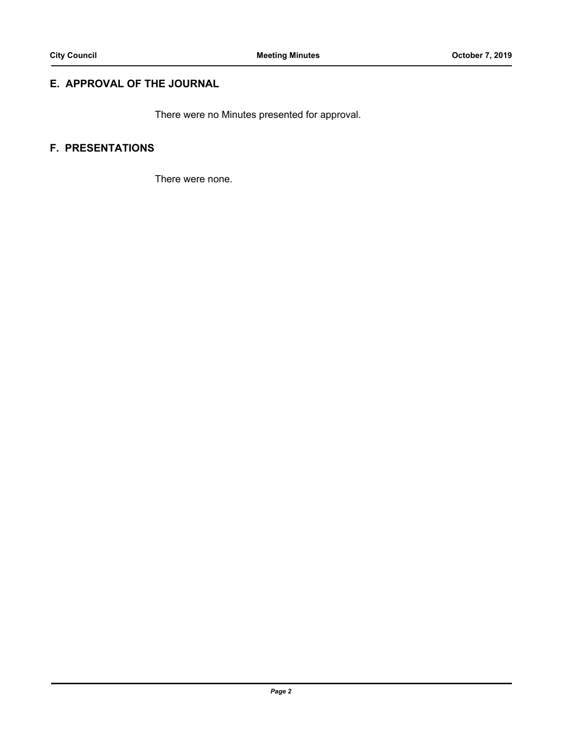## **E. APPROVAL OF THE JOURNAL**

There were no Minutes presented for approval.

## **F. PRESENTATIONS**

There were none.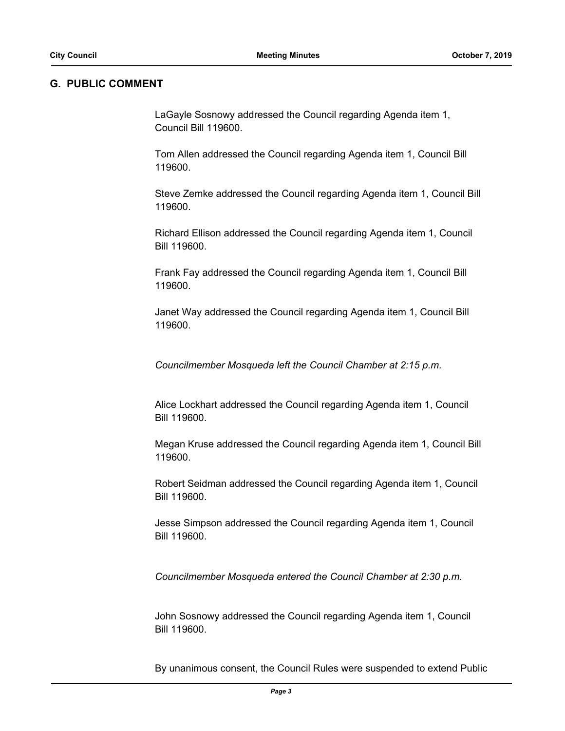#### **G. PUBLIC COMMENT**

LaGayle Sosnowy addressed the Council regarding Agenda item 1, Council Bill 119600.

Tom Allen addressed the Council regarding Agenda item 1, Council Bill 119600.

Steve Zemke addressed the Council regarding Agenda item 1, Council Bill 119600.

Richard Ellison addressed the Council regarding Agenda item 1, Council Bill 119600.

Frank Fay addressed the Council regarding Agenda item 1, Council Bill 119600.

Janet Way addressed the Council regarding Agenda item 1, Council Bill 119600.

*Councilmember Mosqueda left the Council Chamber at 2:15 p.m.*

Alice Lockhart addressed the Council regarding Agenda item 1, Council Bill 119600.

Megan Kruse addressed the Council regarding Agenda item 1, Council Bill 119600.

Robert Seidman addressed the Council regarding Agenda item 1, Council Bill 119600.

Jesse Simpson addressed the Council regarding Agenda item 1, Council Bill 119600.

*Councilmember Mosqueda entered the Council Chamber at 2:30 p.m.*

John Sosnowy addressed the Council regarding Agenda item 1, Council Bill 119600.

By unanimous consent, the Council Rules were suspended to extend Public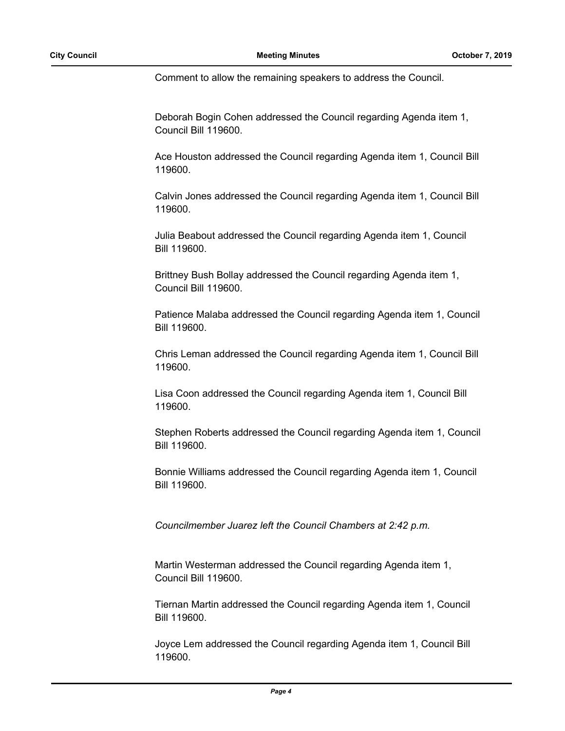Comment to allow the remaining speakers to address the Council.

Deborah Bogin Cohen addressed the Council regarding Agenda item 1, Council Bill 119600.

Ace Houston addressed the Council regarding Agenda item 1, Council Bill 119600.

Calvin Jones addressed the Council regarding Agenda item 1, Council Bill 119600.

Julia Beabout addressed the Council regarding Agenda item 1, Council Bill 119600.

Brittney Bush Bollay addressed the Council regarding Agenda item 1, Council Bill 119600.

Patience Malaba addressed the Council regarding Agenda item 1, Council Bill 119600.

Chris Leman addressed the Council regarding Agenda item 1, Council Bill 119600.

Lisa Coon addressed the Council regarding Agenda item 1, Council Bill 119600.

Stephen Roberts addressed the Council regarding Agenda item 1, Council Bill 119600.

Bonnie Williams addressed the Council regarding Agenda item 1, Council Bill 119600.

*Councilmember Juarez left the Council Chambers at 2:42 p.m.*

Martin Westerman addressed the Council regarding Agenda item 1, Council Bill 119600.

Tiernan Martin addressed the Council regarding Agenda item 1, Council Bill 119600.

Joyce Lem addressed the Council regarding Agenda item 1, Council Bill 119600.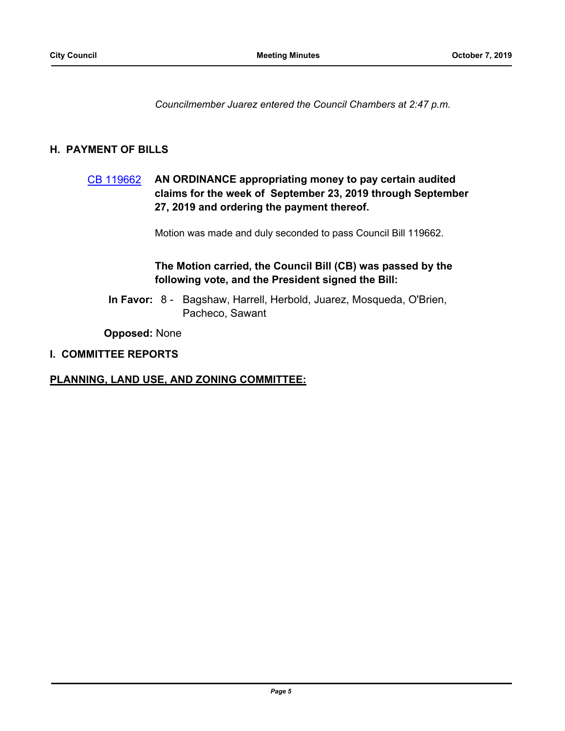*Councilmember Juarez entered the Council Chambers at 2:47 p.m.*

## **H. PAYMENT OF BILLS**

## [CB 119662](http://seattle.legistar.com/gateway.aspx?m=l&id=/matter.aspx?key=9216) **AN ORDINANCE appropriating money to pay certain audited claims for the week of September 23, 2019 through September 27, 2019 and ordering the payment thereof.**

Motion was made and duly seconded to pass Council Bill 119662.

## **The Motion carried, the Council Bill (CB) was passed by the following vote, and the President signed the Bill:**

In Favor: 8 - Bagshaw, Harrell, Herbold, Juarez, Mosqueda, O'Brien, Pacheco, Sawant

**Opposed:** None

#### **I. COMMITTEE REPORTS**

#### **PLANNING, LAND USE, AND ZONING COMMITTEE:**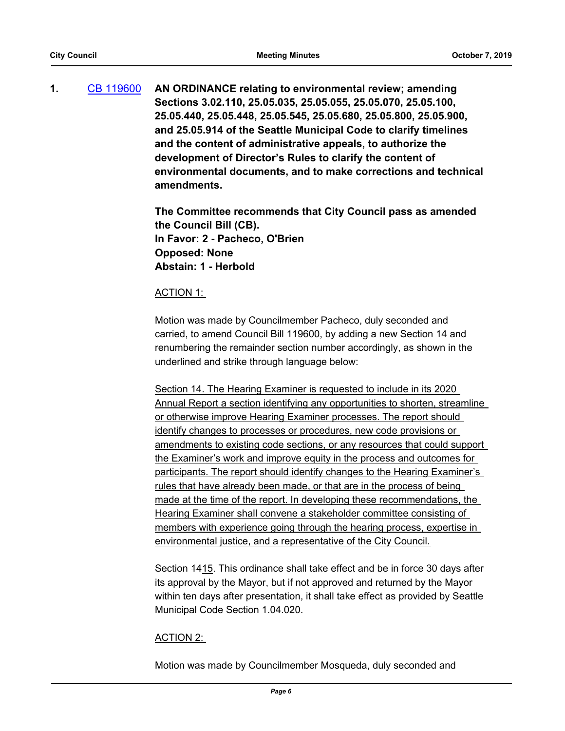**1.** [CB 119600](http://seattle.legistar.com/gateway.aspx?m=l&id=/matter.aspx?key=8942) **AN ORDINANCE relating to environmental review; amending Sections 3.02.110, 25.05.035, 25.05.055, 25.05.070, 25.05.100, 25.05.440, 25.05.448, 25.05.545, 25.05.680, 25.05.800, 25.05.900, and 25.05.914 of the Seattle Municipal Code to clarify timelines and the content of administrative appeals, to authorize the development of Director's Rules to clarify the content of environmental documents, and to make corrections and technical amendments.**

> **The Committee recommends that City Council pass as amended the Council Bill (CB). In Favor: 2 - Pacheco, O'Brien Opposed: None Abstain: 1 - Herbold**

#### ACTION 1:

Motion was made by Councilmember Pacheco, duly seconded and carried, to amend Council Bill 119600, by adding a new Section 14 and renumbering the remainder section number accordingly, as shown in the underlined and strike through language below:

Section 14. The Hearing Examiner is requested to include in its 2020 Annual Report a section identifying any opportunities to shorten, streamline or otherwise improve Hearing Examiner processes. The report should identify changes to processes or procedures, new code provisions or amendments to existing code sections, or any resources that could support the Examiner's work and improve equity in the process and outcomes for participants. The report should identify changes to the Hearing Examiner's rules that have already been made, or that are in the process of being made at the time of the report. In developing these recommendations, the Hearing Examiner shall convene a stakeholder committee consisting of members with experience going through the hearing process, expertise in environmental justice, and a representative of the City Council.

Section 1415. This ordinance shall take effect and be in force 30 days after its approval by the Mayor, but if not approved and returned by the Mayor within ten days after presentation, it shall take effect as provided by Seattle Municipal Code Section 1.04.020.

#### ACTION 2:

Motion was made by Councilmember Mosqueda, duly seconded and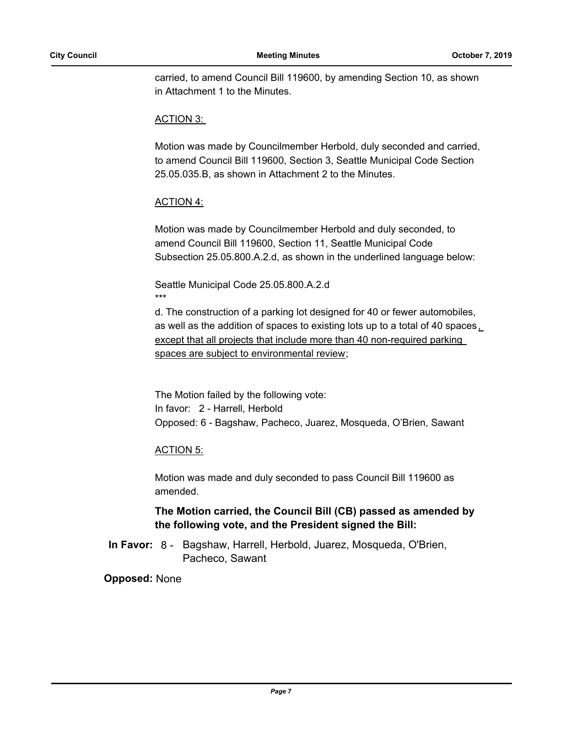carried, to amend Council Bill 119600, by amending Section 10, as shown in Attachment 1 to the Minutes.

#### ACTION 3:

Motion was made by Councilmember Herbold, duly seconded and carried, to amend Council Bill 119600, Section 3, Seattle Municipal Code Section 25.05.035.B, as shown in Attachment 2 to the Minutes.

### ACTION 4:

Motion was made by Councilmember Herbold and duly seconded, to amend Council Bill 119600, Section 11, Seattle Municipal Code Subsection 25.05.800.A.2.d, as shown in the underlined language below:

Seattle Municipal Code 25.05.800.A.2.d \*\*\*

d. The construction of a parking lot designed for 40 or fewer automobiles, as well as the addition of spaces to existing lots up to a total of 40 spaces , except that all projects that include more than 40 non-required parking spaces are subject to environmental review;

The Motion failed by the following vote: In favor: 2 - Harrell, Herbold Opposed: 6 - Bagshaw, Pacheco, Juarez, Mosqueda, O'Brien, Sawant

#### ACTION 5:

Motion was made and duly seconded to pass Council Bill 119600 as amended.

## **The Motion carried, the Council Bill (CB) passed as amended by the following vote, and the President signed the Bill:**

In Favor: 8 - Bagshaw, Harrell, Herbold, Juarez, Mosqueda, O'Brien, Pacheco, Sawant

#### **Opposed:** None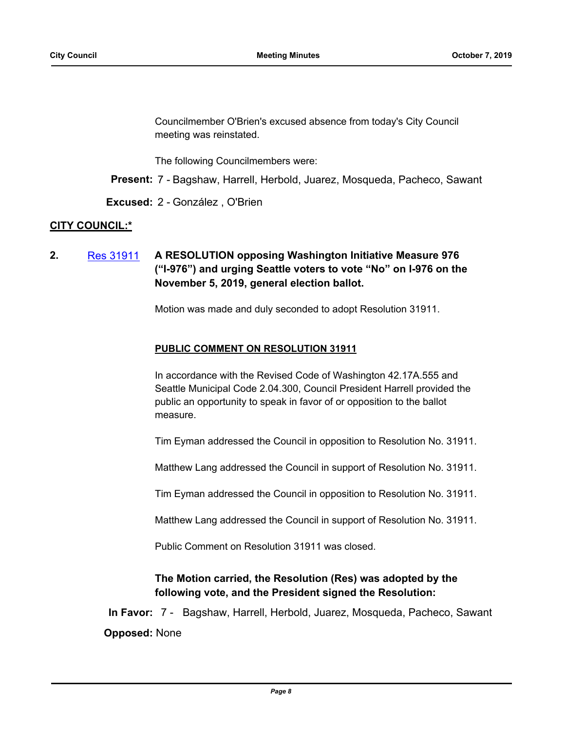Councilmember O'Brien's excused absence from today's City Council meeting was reinstated.

The following Councilmembers were:

**Present:** 7 - Bagshaw, Harrell, Herbold, Juarez, Mosqueda, Pacheco, Sawant

**Excused:** 2 - González , O'Brien

### **CITY COUNCIL:\***

**2.** [Res 31911](http://seattle.legistar.com/gateway.aspx?m=l&id=/matter.aspx?key=9203) **A RESOLUTION opposing Washington Initiative Measure 976 ("I-976") and urging Seattle voters to vote "No" on I-976 on the November 5, 2019, general election ballot.**

Motion was made and duly seconded to adopt Resolution 31911.

#### **PUBLIC COMMENT ON RESOLUTION 31911**

In accordance with the Revised Code of Washington 42.17A.555 and Seattle Municipal Code 2.04.300, Council President Harrell provided the public an opportunity to speak in favor of or opposition to the ballot measure.

Tim Eyman addressed the Council in opposition to Resolution No. 31911.

Matthew Lang addressed the Council in support of Resolution No. 31911.

Tim Eyman addressed the Council in opposition to Resolution No. 31911.

Matthew Lang addressed the Council in support of Resolution No. 31911.

Public Comment on Resolution 31911 was closed.

## **The Motion carried, the Resolution (Res) was adopted by the following vote, and the President signed the Resolution:**

**In Favor:** 7 - Bagshaw, Harrell, Herbold, Juarez, Mosqueda, Pacheco, Sawant **Opposed:** None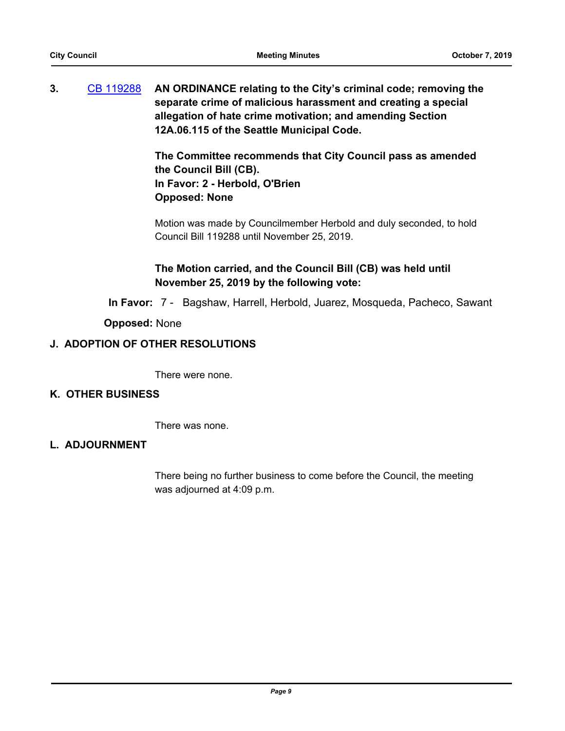**3.** [CB 119288](http://seattle.legistar.com/gateway.aspx?m=l&id=/matter.aspx?key=7227) **AN ORDINANCE relating to the City's criminal code; removing the separate crime of malicious harassment and creating a special allegation of hate crime motivation; and amending Section 12A.06.115 of the Seattle Municipal Code.**

> **The Committee recommends that City Council pass as amended the Council Bill (CB). In Favor: 2 - Herbold, O'Brien Opposed: None**

> Motion was made by Councilmember Herbold and duly seconded, to hold Council Bill 119288 until November 25, 2019.

## **The Motion carried, and the Council Bill (CB) was held until November 25, 2019 by the following vote:**

**In Favor:** 7 - Bagshaw, Harrell, Herbold, Juarez, Mosqueda, Pacheco, Sawant

### **Opposed:** None

### **J. ADOPTION OF OTHER RESOLUTIONS**

There were none.

#### **K. OTHER BUSINESS**

There was none.

#### **L. ADJOURNMENT**

There being no further business to come before the Council, the meeting was adjourned at 4:09 p.m.